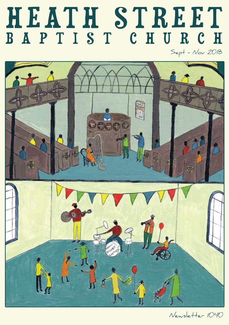# HEATH STREET BAPTIST CHURCH

Sept - Nov 2018



Newsletter 1040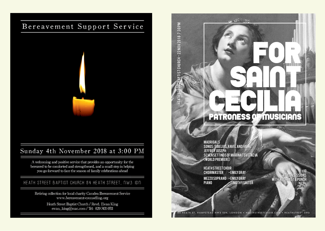# Bereavement Support Service



# Sunday 4th November 2018 at 3:00 PM

A welcoming and positive service that provides an opportunity for the bereaved to be comforted and strengthened, and a small step in helping you go forward to face the season of family celebrations ahead

# HEATH STREET BAPTIST CHURCH 84 HEATH STREET, NW3 IDN

Retiring collection for local charity Camden Bereavement Service www.bereavement-counselling.org

> Heath Street Baptist Church / Revd. Ewan King ewan\_king@mac.com / Tel: 020 7431 0511

# **EXAMPLE 127 : 47 : 50 PM CONSTRUCT (SAMPLE 200 1 9 . 7 : 3 . 7 : 3 . 7 : 3 . 7 : 3 . 7 : 3 . 7 : 3 . 7 : 3 . 7 : 3 . 7 : 3 . 7 : 3 . 7 : 3 . 7 : 3 . 7 : 3 . 7 : 3 . 7 : 3 . 7 : 3 . 7 : 3 . 7 : 3 . 7 : 3 . 7 : 3 . 7 : 3 .** CECILIA PATRONESS OF MUSICIANS

MADRIGALS SONGS : SIBELIUS, RAVEL AND FAURÉ: JEFFREY JOSEPH: SEVEN SETTINGS OF MARINA TSVETAEVA (WORLD PREMIERE)

**HEATH STREET CHOIR** CHOIRMASTER - EMILY GRAY MEZZO SOPRANO - EMILY GRAY PIANO **FIMOTHY SALTER** 

£10 **£5 CONCESSIONS** WITH HOG ROAST & PUNCH

FOR:

SAINT.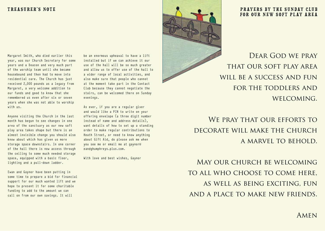## TREASURER'S NOTE

Margaret Smith, who died earlier this year, was our Church Secretary for some years and a Deacon and very much part of the worship team until she became housebound and then had to move into residential care. The Church has just received 2,000 pounds as a legacy from Margaret, a very welcome addition to our funds and good to know that she remembered us even after six or seven years when she was not able to worship with us.

Anyone visiting the Church in the last month has begun to see changes in one area of the sanctuary as our new soft play area takes shape but there is an almost invisible change you should also know about which has given us more storage space downstairs. In one corner of the hall there is now access through the ceiling to some much needed storage space, equipped with a basic floor, lighting and a pull-down ladder.

Ewan and Gaynor have been putting in some time to prepare a bid for financial support for our much wanted lift and we hope to present it for some charitable funding to add to the amount we can call on from our own savings. It will

be an enormous upheaval to have a lift installed but if we can achieve it our use of the hall will be so much greater and allow us to offer use of the hall to a wider range of local activities, and also make sure that people who cannot at the moment take part in the Contact Club because they cannot negotiate the stairs, can be welcomed there on Sunday evenings.

As ever, if you are a regular giver and would like a PIN to write on your offering envelope (a three digit number instead of name and address details), want details of how to set up a standing order to make regular contributions to Heath Street, or need to know anything about Gift Aid, do please ask me when you see me or email me at gaynor@ eandghumphreys.plus.com.

With love and best wishes, Gaynor



### PRAYERS BY THE SUNDAY CLUB FOR OUR NEW SOFT PLAY AREA

DEAR GOD WE PRAY that our soft play area WILL BE A SUCCESS AND FUN for the toddlers and WELCOMING.

WE PRAY THAT OUR EFFORTS TO DECORATE WILL MAKE THE CHURCH a marvel to behold.

May our church be welcoming to all who choose to come here, as well as being exciting, fun and a place to make new friends.

AMEN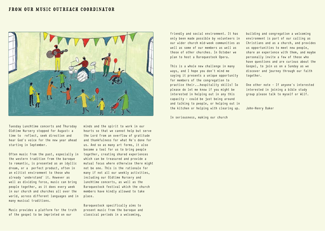## FROM OUR MUSIC OUTREACH COORDINATOR



Tuesday Lunchtime concerts and Thursday Oldtime Nursery stopped for August: a time to reflect, seek direction and hear God's voice for the new year ahead starting in September.

Often music from the past, especially in the western tradition from the baroque to romantic, is presented as an idyllic dream, or a perfect product, often in an elitist environment to those who already 'understand' it. However as well as dividing force, music can bring people together, as it does every week in our church and churches all over the world, across different languages and in many musical traditions.

Music provides a platform for the truth of the gospel to be imprinted on our

minds and the spirit to work in our hearts so that we cannot help but serve the Lord from an overflow of gratitude and thankfulness for what He's done for us. And so as many art forms, it also become a tool for us to bring people together, creating shared experiences which can be treasured and provide a mutual focus where otherwise there might not be one. This is the rationale for many if not all our weekly activities, including our Oldtime Nursery and lunchtime concerts, as well as the Baroquestock festival which the church members have kindly allowed to take place.

Baroquestock specifically aims to present music from the baroque and classical periods in a welcoming,

friendly and social environment. It has only been made possible by volunteers in our wider church mid-week communities as well as some of our members as well as those of other churches. In October we plan to host a Baroquestock Opera.

This is a whole new challenge in many ways, and I hope you don't mind me saying it presents a unique opportunity for members of the congregation to practice their...hospitality skills! So please do let me know if you might be interested in helping out in any this capacity - could be just being around and talking to people, or helping out in the kitchen or helping with clearing up.

In seriousness, making our church

building and congregation a welcoming environment is part of our calling as Christians and as a church, and provides us opportunities to meet new people, share an experience with them, and maybe personally invite a few of those who have questions and are curious about the Gospel, to join us on a Sunday as we discover and journey through our faith together.

One other note - If anyone's interested interested in joining a bible study group please talk to myself or Wilf.

John-Henry Baker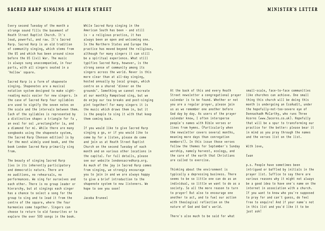Every second Tuesday of the month a strange sound fills the basement of Heath Street Baptist Church. It's loud, powerful, and raw. It's Sacred Harp. Sacred Harp is an old tradition of community singing, which stems from the US and which has been around since before the US Civil War. The music is always sung unaccompanied, in four parts, with all singers seated in a 'hollow' square.

Sacred Harp is a form of shapenote singing. Shapenotes are a musical notation system designed to make sightreading music easier for new singers. In the case of Sacred Harp four syllables are used to signify the seven notes on the scale and the intervals between them. Each of the syllables is represented by a distinctive shape: a triangle for fa, an oval for sol ,arectanglefor la, and a diamond for mi. While there are many songbooks using the shapenote system. the Sacred Harp (Denson edition) is by far the most widely used book, and the book London Sacred Harp primarily sing from.

The beauty of singing Sacred Harp lies in its inherently participatory and democratic nature. There are no auditions, no rehearsals, no performances. We sing for ourselves and each other. There is no group leader or hierarchy, but at singings each singer has a chance to select a song for the group to sing and to lead it from the centre of the square, where the four harmonies come together. Singers can choose to return to old favourites or to explore the over 500 songs in the book.

While Sacred Harp singing in the American South has been - and still is - a religious practice, it has always been an open and welcoming one. In the Northern States and Europe the practice has moved beyond the religious, although for many singers it can still be a spiritual experience. What still typifies Sacred Harp, however, is the strong sense of community among its singers across the world. Never is this more clear than at all-day singing, hosted annually by local groups, which centre on a shared "dinner on the grounds". Something we cannot recreate at our monthly Hampstead sing, but we do enjoy our tea breaks and post-singing pint together! For many singers it is the music which draws them in, but it is the people to sing it with that keep them coming back.

If you would like to give Sacred Harp singing a go, or if you would like to come by for a listen, please do come and join us at Heath Street Baptist Church on the second Tuesday of each month and on various other locations in the capital. For full details, please see our website londonsacredharp.org. As much of the joy in Sacred Harp comes from singing, we strongly encourage you to join in and we are always happy to give a brief introduction to the shapenote system to new listeners. We hope to see you soon!

Jacoba Bruneel

At the back of this and every Heath Street newsletter a congregational prayer calendar is to be found. Whether or not you are a regular prayer, please join us as we remember one another before God day by day. As users of the prayer calendar know, I often intersperse people's names with Bible verses or lines from hymns. (Particularly when the newsletter covers several months, meaning more days than conregation members!). In this issue those verses follow the themes for September's Sunday worship, namely harvest, ecology, and the care of the earth that Christians are called to exercise.

Thinking about the environment is typically a depressing business. There seems to be so little one can do as an individual, so little we want to do as a society. So all the more reason to turn to prayer! But also to encourage one another to act, and to fuel our action with theological reflection on the nature of God and God's world.

small-scale, face-to-face communities like churches can achieve. One small thing this church will be doing this month is undergoing an EcoAudit, under the hopefully-not-too-severe eye of Donnachadh McCarthy, who runs Three Acorns (www.3acorns.co.uk). Hopefully that will be a spur to transforming our practice for the better: please bear it in mind as you pray through the names

and the verses list on the list.

With love,

#### Ewan

p.s. People have sometimes been intrigued or baffled by initials in the prayer list. Suffice to say there are various reasons why it might not always be a good idea to have one's name on the internet in association with a church. If you want to know who you're supposed to pray for and can't guess, do feel free to enquire! And if your name's not in this list and you'd like it to be just ask!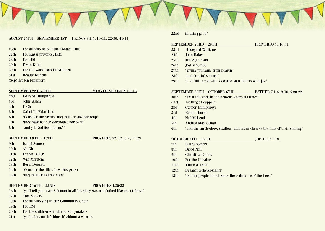#### August 26th – September 1st 1 Kings 8.1,6, 10-11, 22-30, 41-43

- 26th For all who help at the Contact Club
- 27th For Kasai province, DRC
- 28th For HM
- 29th Ewan King
- 30th For the World Baptist Alliance
- 31st Beauty Kunene
- (Sep) 1st Jen Finamore

SEPTEMBER 2ND – 8TH SONG OF SOLOMON 2.8-13

- 2nd Edward Humphreys
- 3rd John Walsh
- 4th E Gh
- 5th Gabrielle Falardeau
- 6th 'Consider the ravens: they neither sow nor reap'
- 7th 'they have neither storehouse nor barn'
- 8th 'and yet God feeds them.' '

- SEPTEMBER 9TH 15TH PROVERBS 22.1-2, 8-9, 22-23
- 9th Isabel Somers
- 10th Ali Gh
- 11th Evelyn Baker
- 12th Wilf Merttens
- 13th Beryl Dowsett
- 14th 'Consider the lilies, how they grow:
- 15th 'they neither toil nor spin'

#### SEPTEMBER 16TH – 22ND PROVERBS 1.20-33

- 16th 'yet I tell you, even Solomon in all his glory was not clothed like one of these.'
- 17th Tom Somers
- 18th For all who sing in our Community Choir
- 19th For EM
- 20th For the children who attend Storymakers
- 21st 'yet he has not left himself without a witness

#### 22nd in doing good'

#### SEPTEMBER 23RD – 29TH PROVERBS 31.10-31

- 
- 23rd Hildegard Williams
- 24th John Baker
- 25th Mysie Johnson
- 26th Josi Mbombo
- 27th 'giving you rains from heaven'
- 28th 'and fruitful seasons'
- 29th 'and filling you with food and your hearts with joy.'

#### SEPTEMBER 30TH – OCTOBER 6TH ESTHER 7.1-6, 9-10; 9.20-22

- 30th 'Even the stork in the heavens knows its times'
- (Oct) 1st Birgit Leuppert
- 2nd Gaynor Humphreys
- 3rd Robin Thorne
- 4th Neil McLeod
- 5th Andrea MacEachan
- 6th 'and the turtle-dove, swallow, and crane observe the time of their coming'

#### OCTOBER 7TH – 13TH JOB 1.1; 2.1-10

- 7th Laura Somers
- 8th David Neil
- 9th Christina Cairns
- 10th For the Ukraine
- 11th Theresa Thom
- 12th Bezawit Geberebziaher
- 13th 'but my people do not know the ordinance of the Lord.'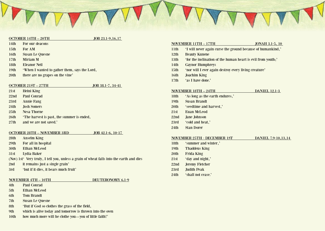

#### OCTOBER 14TH – 20TH JOB 23.1-9,16,17

- 14th For our deacons
- 15th For AM
- 16th Susan Le Quesne
- 17th Miriam M
- 18th Eleanor Neil
- 19th 'When I wanted to gather them, says the Lord,
- 20th there are no grapes on the vine'

#### OCTOBER 21ST – 27TH JOB 38.1-7, 34-41

- 21st Heini King
- 22nd Paul Conrad
- 23rd Annie Fang
- 24th Josh Somers
- 25th Nesa Thorne
- 26th 'The harvest is past, the summer is ended,
- 27th and we are not saved.'

#### October 28th – November 3rd Job 42.1-6, 10-17

- 28th Anselm King
- 29th For all in hospital
- 30th Ethan McLeod
- 31st Lydia Baker
- (Nov) 1st' Very truly, I tell you, unless a grain of wheat falls into the earth and dies
- 2nd it remains just a single grain'
- 3rd 'but if it dies, it bears much fruit'

#### NOVEMBER 4TH – 10TH DEUTERONOMY 6.1-9

- 4th Paul Conrad
- 5th Ethan McLeod
- 6th Tom Brandt
- 7th Susan Le Quesne
- 8th 'But if God so clothes the grass of the field,
- 9th which is alive today and tomorrow is thrown into the oven
- 10th how much more will be clothe you—you of little faith!'

# NOVEMBER 11TH – 17TH JONAH 3.1-5, 10 11th 'I will never again curse the ground because of humankind,' 12th Beauty Kunene 13th 'for the inclination of the human heart is evil from youth;' 14th Gaynor Humphreys 15th 'nor will I ever again destroy every living creature' 16th Joachim King 17th 'as I have done.'

#### NOVEMBER 18TH – 24TH DANIEL 12.1-3

- 18th 'As long as the earth endures,'
- 19th Susan Brandt
- 20th 'seedtime and harvest,'
- 21st Euan McLeod
- 22nd Jane Johnson
- 23rd 'cold and heat,'
- 24th Stan Dorer

#### November 25th - December 1st Daniel 7.9-10,13,14

- 18th 'summer and winter,'
- 19th Thaddeus King
- 20th Frida King
- 21st 'day and night,'
- 22nd Jeremy Fletcher
- 23rd Judith Peak
- 24th 'shall not cease.'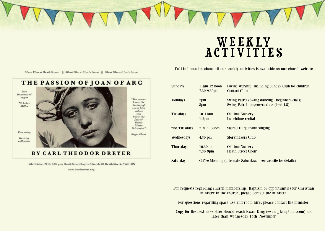

# W e e k ly ACTIVITIE

Full information about all our weekly activities is available on our church website

Silent Film at Heath Street § Silent Film at Heath Street § Silent Film at Heath Street



5th October 2018, 8:00 pm, Heath Street Baptist Church, 84 Heath Street, NW3 IDN

www.heathstreet.org

| <b>Sundays</b>   | $11am-12$ noon<br>$7.30 - 9.30$ pm                             | Divine Worship (including Sunday Club for children<br><b>Contact Club</b>                   |
|------------------|----------------------------------------------------------------|---------------------------------------------------------------------------------------------|
| <b>Mondays</b>   | 7 <sub>pm</sub><br>8pm                                         | Swing Patrol (Swing dancing - beginners class)<br>Swing Patrol: improvers class (level 1.5) |
| <b>Tuesdays</b>  | $10-11am$<br>$1-2$ pm                                          | <b>Oldtime Nursery</b><br>Lunchtime recital                                                 |
| 2nd Tuesdays     | $7:30-9:30$ pm                                                 | Sacred Harp hymn singing                                                                    |
| Wednesdays       | $4.30$ pm                                                      | <b>Storymakers Club</b>                                                                     |
| <b>Thursdays</b> | 10.30am<br>$7.30 - 9$ pm                                       | <b>Oldtime Nursery</b><br><b>Heath Street Choir</b>                                         |
| Saturday         | Coffee Morning (alternate Saturdays – see website for details) |                                                                                             |

For requests regarding church membership, Baptism or opportunities for Christian ministry in the church, please contact the minister.

For questions regarding space use and room hire, please contact the minister.

Copy for the next newsletter should reach Ewan King (ewan \_ king@mac.com) not later than Wednesday 14th November